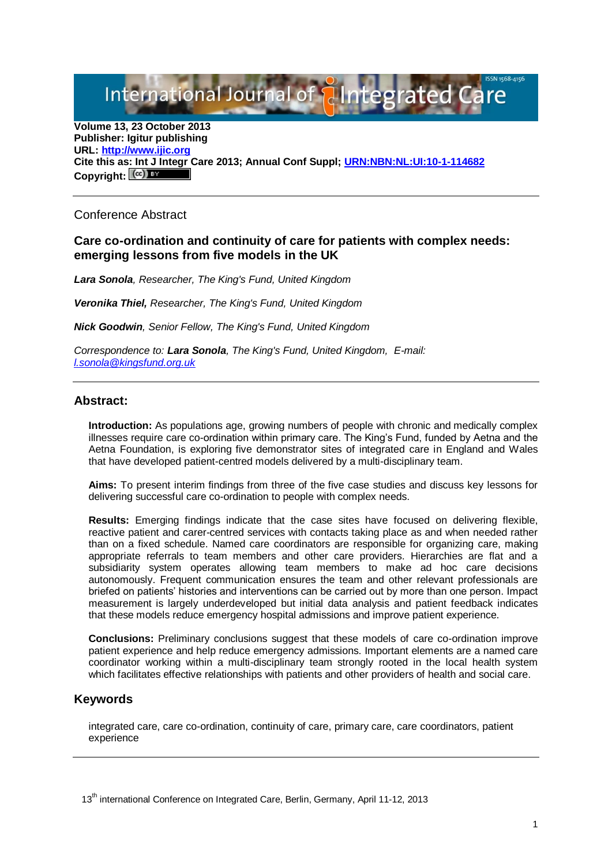International Journal of **Plntegrated** 

**Volume 13, 23 October 2013 Publisher: Igitur publishing URL[: http://www.ijic.org](http://www.ijic.org/) Cite this as: Int J Integr Care 2013; Annual Conf Suppl; [URN:NBN:NL:UI:10-1-114682](http://persistent-identifier.nl/?identifier=URN:NBN:NL:UI:10-1-114682)** Copyright:  $(\mathbb{C}\mathbb{C})$ 

Conference Abstract

## **Care co-ordination and continuity of care for patients with complex needs: emerging lessons from five models in the UK**

*Lara Sonola, Researcher, The King's Fund, United Kingdom*

*Veronika Thiel, Researcher, The King's Fund, United Kingdom*

*Nick Goodwin, Senior Fellow, The King's Fund, United Kingdom*

*Correspondence to: Lara Sonola, The King's Fund, United Kingdom, E-mail: [l.sonola@kingsfund.org.uk](mailto:l.sonola@kingsfund.org.uk)*

## **Abstract:**

**Introduction:** As populations age, growing numbers of people with chronic and medically complex illnesses require care co-ordination within primary care. The King's Fund, funded by Aetna and the Aetna Foundation, is exploring five demonstrator sites of integrated care in England and Wales that have developed patient-centred models delivered by a multi-disciplinary team.

**Aims:** To present interim findings from three of the five case studies and discuss key lessons for delivering successful care co-ordination to people with complex needs.

**Results:** Emerging findings indicate that the case sites have focused on delivering flexible, reactive patient and carer-centred services with contacts taking place as and when needed rather than on a fixed schedule. Named care coordinators are responsible for organizing care, making appropriate referrals to team members and other care providers. Hierarchies are flat and a subsidiarity system operates allowing team members to make ad hoc care decisions autonomously. Frequent communication ensures the team and other relevant professionals are briefed on patients' histories and interventions can be carried out by more than one person. Impact measurement is largely underdeveloped but initial data analysis and patient feedback indicates that these models reduce emergency hospital admissions and improve patient experience.

**Conclusions:** Preliminary conclusions suggest that these models of care co-ordination improve patient experience and help reduce emergency admissions. Important elements are a named care coordinator working within a multi-disciplinary team strongly rooted in the local health system which facilitates effective relationships with patients and other providers of health and social care.

## **Keywords**

integrated care, care co-ordination, continuity of care, primary care, care coordinators, patient experience

13<sup>th</sup> international Conference on Integrated Care, Berlin, Germany, April 11-12, 2013